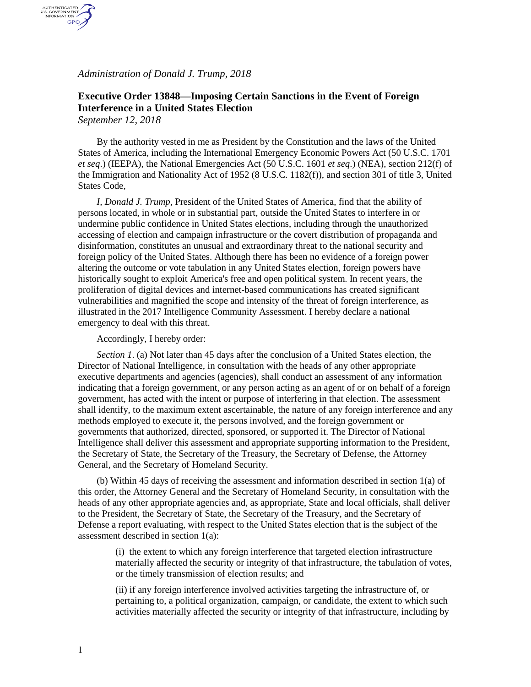*Administration of Donald J. Trump, 2018*

## **Executive Order 13848—Imposing Certain Sanctions in the Event of Foreign Interference in a United States Election**

*September 12, 2018*

AUTHENTICATED<br>U.S. GOVERNMENT<br>INFORMATION GPO

> By the authority vested in me as President by the Constitution and the laws of the United States of America, including the International Emergency Economic Powers Act (50 U.S.C. 1701 *et seq*.) (IEEPA), the National Emergencies Act (50 U.S.C. 1601 *et seq*.) (NEA), section 212(f) of the Immigration and Nationality Act of 1952 (8 U.S.C. 1182(f)), and section 301 of title 3, United States Code,

*I, Donald J. Trump,* President of the United States of America, find that the ability of persons located, in whole or in substantial part, outside the United States to interfere in or undermine public confidence in United States elections, including through the unauthorized accessing of election and campaign infrastructure or the covert distribution of propaganda and disinformation, constitutes an unusual and extraordinary threat to the national security and foreign policy of the United States. Although there has been no evidence of a foreign power altering the outcome or vote tabulation in any United States election, foreign powers have historically sought to exploit America's free and open political system. In recent years, the proliferation of digital devices and internet-based communications has created significant vulnerabilities and magnified the scope and intensity of the threat of foreign interference, as illustrated in the 2017 Intelligence Community Assessment. I hereby declare a national emergency to deal with this threat.

## Accordingly, I hereby order:

*Section 1*. (a) Not later than 45 days after the conclusion of a United States election, the Director of National Intelligence, in consultation with the heads of any other appropriate executive departments and agencies (agencies), shall conduct an assessment of any information indicating that a foreign government, or any person acting as an agent of or on behalf of a foreign government, has acted with the intent or purpose of interfering in that election. The assessment shall identify, to the maximum extent ascertainable, the nature of any foreign interference and any methods employed to execute it, the persons involved, and the foreign government or governments that authorized, directed, sponsored, or supported it. The Director of National Intelligence shall deliver this assessment and appropriate supporting information to the President, the Secretary of State, the Secretary of the Treasury, the Secretary of Defense, the Attorney General, and the Secretary of Homeland Security.

(b) Within 45 days of receiving the assessment and information described in section 1(a) of this order, the Attorney General and the Secretary of Homeland Security, in consultation with the heads of any other appropriate agencies and, as appropriate, State and local officials, shall deliver to the President, the Secretary of State, the Secretary of the Treasury, and the Secretary of Defense a report evaluating, with respect to the United States election that is the subject of the assessment described in section 1(a):

(i) the extent to which any foreign interference that targeted election infrastructure materially affected the security or integrity of that infrastructure, the tabulation of votes, or the timely transmission of election results; and

(ii) if any foreign interference involved activities targeting the infrastructure of, or pertaining to, a political organization, campaign, or candidate, the extent to which such activities materially affected the security or integrity of that infrastructure, including by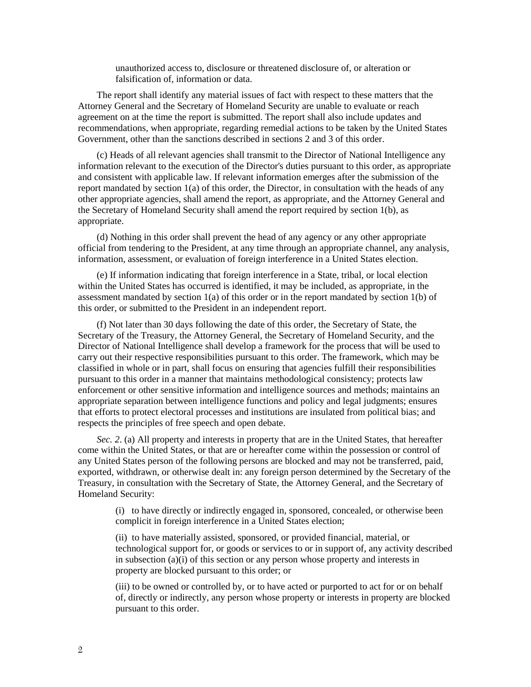unauthorized access to, disclosure or threatened disclosure of, or alteration or falsification of, information or data.

The report shall identify any material issues of fact with respect to these matters that the Attorney General and the Secretary of Homeland Security are unable to evaluate or reach agreement on at the time the report is submitted. The report shall also include updates and recommendations, when appropriate, regarding remedial actions to be taken by the United States Government, other than the sanctions described in sections 2 and 3 of this order.

(c) Heads of all relevant agencies shall transmit to the Director of National Intelligence any information relevant to the execution of the Director's duties pursuant to this order, as appropriate and consistent with applicable law. If relevant information emerges after the submission of the report mandated by section  $1(a)$  of this order, the Director, in consultation with the heads of any other appropriate agencies, shall amend the report, as appropriate, and the Attorney General and the Secretary of Homeland Security shall amend the report required by section 1(b), as appropriate.

(d) Nothing in this order shall prevent the head of any agency or any other appropriate official from tendering to the President, at any time through an appropriate channel, any analysis, information, assessment, or evaluation of foreign interference in a United States election.

(e) If information indicating that foreign interference in a State, tribal, or local election within the United States has occurred is identified, it may be included, as appropriate, in the assessment mandated by section  $1(a)$  of this order or in the report mandated by section  $1(b)$  of this order, or submitted to the President in an independent report.

(f) Not later than 30 days following the date of this order, the Secretary of State, the Secretary of the Treasury, the Attorney General, the Secretary of Homeland Security, and the Director of National Intelligence shall develop a framework for the process that will be used to carry out their respective responsibilities pursuant to this order. The framework, which may be classified in whole or in part, shall focus on ensuring that agencies fulfill their responsibilities pursuant to this order in a manner that maintains methodological consistency; protects law enforcement or other sensitive information and intelligence sources and methods; maintains an appropriate separation between intelligence functions and policy and legal judgments; ensures that efforts to protect electoral processes and institutions are insulated from political bias; and respects the principles of free speech and open debate.

*Sec. 2*. (a) All property and interests in property that are in the United States, that hereafter come within the United States, or that are or hereafter come within the possession or control of any United States person of the following persons are blocked and may not be transferred, paid, exported, withdrawn, or otherwise dealt in: any foreign person determined by the Secretary of the Treasury, in consultation with the Secretary of State, the Attorney General, and the Secretary of Homeland Security:

(i) to have directly or indirectly engaged in, sponsored, concealed, or otherwise been complicit in foreign interference in a United States election;

(ii) to have materially assisted, sponsored, or provided financial, material, or technological support for, or goods or services to or in support of, any activity described in subsection (a)(i) of this section or any person whose property and interests in property are blocked pursuant to this order; or

(iii) to be owned or controlled by, or to have acted or purported to act for or on behalf of, directly or indirectly, any person whose property or interests in property are blocked pursuant to this order.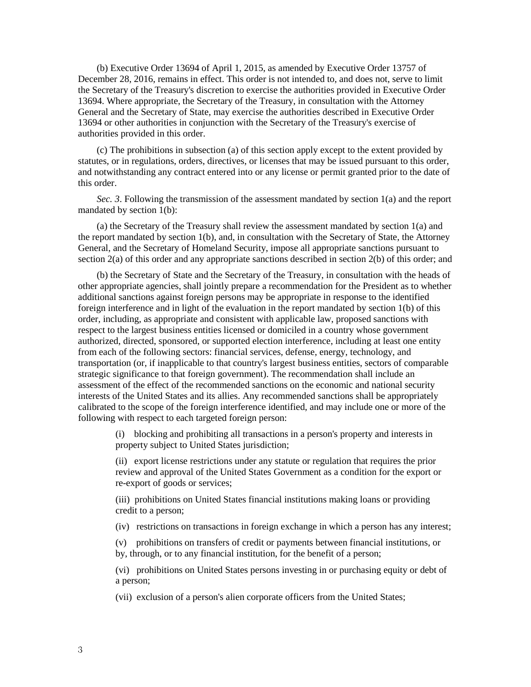(b) Executive Order 13694 of April 1, 2015, as amended by Executive Order 13757 of December 28, 2016, remains in effect. This order is not intended to, and does not, serve to limit the Secretary of the Treasury's discretion to exercise the authorities provided in Executive Order 13694. Where appropriate, the Secretary of the Treasury, in consultation with the Attorney General and the Secretary of State, may exercise the authorities described in Executive Order 13694 or other authorities in conjunction with the Secretary of the Treasury's exercise of authorities provided in this order.

(c) The prohibitions in subsection (a) of this section apply except to the extent provided by statutes, or in regulations, orders, directives, or licenses that may be issued pursuant to this order, and notwithstanding any contract entered into or any license or permit granted prior to the date of this order.

*Sec. 3*. Following the transmission of the assessment mandated by section 1(a) and the report mandated by section 1(b):

(a) the Secretary of the Treasury shall review the assessment mandated by section 1(a) and the report mandated by section 1(b), and, in consultation with the Secretary of State, the Attorney General, and the Secretary of Homeland Security, impose all appropriate sanctions pursuant to section 2(a) of this order and any appropriate sanctions described in section 2(b) of this order; and

(b) the Secretary of State and the Secretary of the Treasury, in consultation with the heads of other appropriate agencies, shall jointly prepare a recommendation for the President as to whether additional sanctions against foreign persons may be appropriate in response to the identified foreign interference and in light of the evaluation in the report mandated by section 1(b) of this order, including, as appropriate and consistent with applicable law, proposed sanctions with respect to the largest business entities licensed or domiciled in a country whose government authorized, directed, sponsored, or supported election interference, including at least one entity from each of the following sectors: financial services, defense, energy, technology, and transportation (or, if inapplicable to that country's largest business entities, sectors of comparable strategic significance to that foreign government). The recommendation shall include an assessment of the effect of the recommended sanctions on the economic and national security interests of the United States and its allies. Any recommended sanctions shall be appropriately calibrated to the scope of the foreign interference identified, and may include one or more of the following with respect to each targeted foreign person:

(i) blocking and prohibiting all transactions in a person's property and interests in property subject to United States jurisdiction;

(ii) export license restrictions under any statute or regulation that requires the prior review and approval of the United States Government as a condition for the export or re-export of goods or services;

(iii) prohibitions on United States financial institutions making loans or providing credit to a person;

(iv) restrictions on transactions in foreign exchange in which a person has any interest;

(v) prohibitions on transfers of credit or payments between financial institutions, or by, through, or to any financial institution, for the benefit of a person;

(vi) prohibitions on United States persons investing in or purchasing equity or debt of a person;

(vii) exclusion of a person's alien corporate officers from the United States;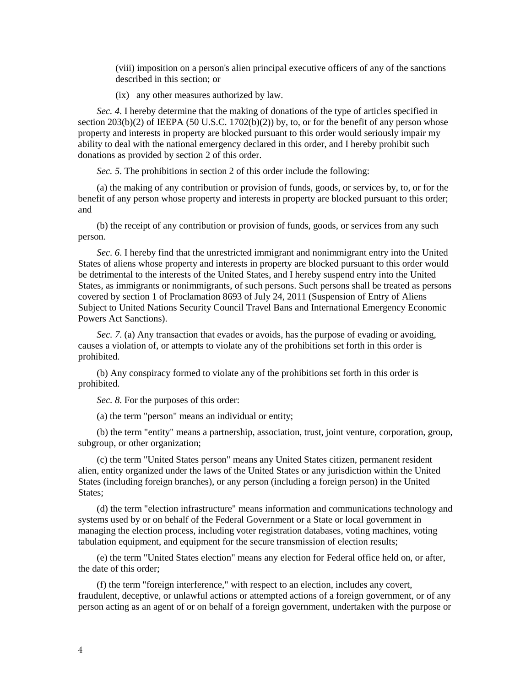(viii) imposition on a person's alien principal executive officers of any of the sanctions described in this section; or

(ix) any other measures authorized by law.

*Sec. 4*. I hereby determine that the making of donations of the type of articles specified in section 203(b)(2) of IEEPA (50 U.S.C. 1702(b)(2)) by, to, or for the benefit of any person whose property and interests in property are blocked pursuant to this order would seriously impair my ability to deal with the national emergency declared in this order, and I hereby prohibit such donations as provided by section 2 of this order.

*Sec. 5*. The prohibitions in section 2 of this order include the following:

(a) the making of any contribution or provision of funds, goods, or services by, to, or for the benefit of any person whose property and interests in property are blocked pursuant to this order; and

(b) the receipt of any contribution or provision of funds, goods, or services from any such person.

*Sec. 6*. I hereby find that the unrestricted immigrant and nonimmigrant entry into the United States of aliens whose property and interests in property are blocked pursuant to this order would be detrimental to the interests of the United States, and I hereby suspend entry into the United States, as immigrants or nonimmigrants, of such persons. Such persons shall be treated as persons covered by section 1 of Proclamation 8693 of July 24, 2011 (Suspension of Entry of Aliens Subject to United Nations Security Council Travel Bans and International Emergency Economic Powers Act Sanctions).

*Sec. 7.* (a) Any transaction that evades or avoids, has the purpose of evading or avoiding, causes a violation of, or attempts to violate any of the prohibitions set forth in this order is prohibited.

(b) Any conspiracy formed to violate any of the prohibitions set forth in this order is prohibited.

*Sec. 8*. For the purposes of this order:

(a) the term "person" means an individual or entity;

(b) the term "entity" means a partnership, association, trust, joint venture, corporation, group, subgroup, or other organization;

(c) the term "United States person" means any United States citizen, permanent resident alien, entity organized under the laws of the United States or any jurisdiction within the United States (including foreign branches), or any person (including a foreign person) in the United States;

(d) the term "election infrastructure" means information and communications technology and systems used by or on behalf of the Federal Government or a State or local government in managing the election process, including voter registration databases, voting machines, voting tabulation equipment, and equipment for the secure transmission of election results;

(e) the term "United States election" means any election for Federal office held on, or after, the date of this order;

(f) the term "foreign interference," with respect to an election, includes any covert, fraudulent, deceptive, or unlawful actions or attempted actions of a foreign government, or of any person acting as an agent of or on behalf of a foreign government, undertaken with the purpose or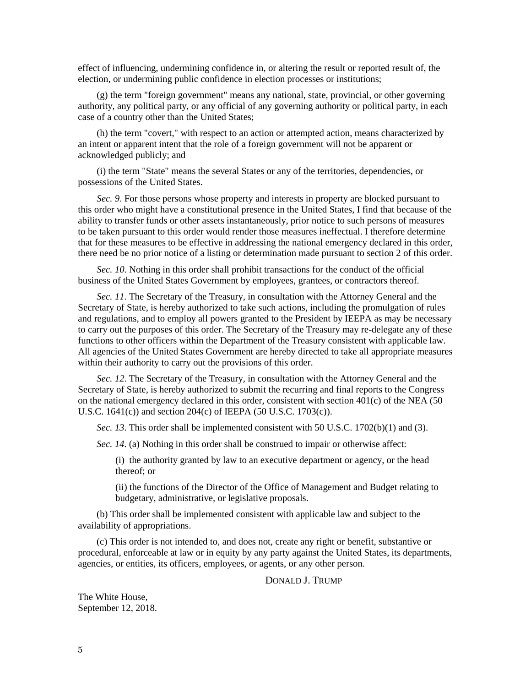effect of influencing, undermining confidence in, or altering the result or reported result of, the election, or undermining public confidence in election processes or institutions;

(g) the term "foreign government" means any national, state, provincial, or other governing authority, any political party, or any official of any governing authority or political party, in each case of a country other than the United States;

(h) the term "covert," with respect to an action or attempted action, means characterized by an intent or apparent intent that the role of a foreign government will not be apparent or acknowledged publicly; and

(i) the term "State" means the several States or any of the territories, dependencies, or possessions of the United States.

*Sec. 9*. For those persons whose property and interests in property are blocked pursuant to this order who might have a constitutional presence in the United States, I find that because of the ability to transfer funds or other assets instantaneously, prior notice to such persons of measures to be taken pursuant to this order would render those measures ineffectual. I therefore determine that for these measures to be effective in addressing the national emergency declared in this order, there need be no prior notice of a listing or determination made pursuant to section 2 of this order.

*Sec. 10*. Nothing in this order shall prohibit transactions for the conduct of the official business of the United States Government by employees, grantees, or contractors thereof.

*Sec. 11*. The Secretary of the Treasury, in consultation with the Attorney General and the Secretary of State, is hereby authorized to take such actions, including the promulgation of rules and regulations, and to employ all powers granted to the President by IEEPA as may be necessary to carry out the purposes of this order. The Secretary of the Treasury may re-delegate any of these functions to other officers within the Department of the Treasury consistent with applicable law. All agencies of the United States Government are hereby directed to take all appropriate measures within their authority to carry out the provisions of this order.

*Sec. 12*. The Secretary of the Treasury, in consultation with the Attorney General and the Secretary of State, is hereby authorized to submit the recurring and final reports to the Congress on the national emergency declared in this order, consistent with section 401(c) of the NEA (50 U.S.C. 1641(c)) and section 204(c) of IEEPA (50 U.S.C. 1703(c)).

*Sec. 13*. This order shall be implemented consistent with 50 U.S.C. 1702(b)(1) and (3).

*Sec. 14*. (a) Nothing in this order shall be construed to impair or otherwise affect:

(i) the authority granted by law to an executive department or agency, or the head thereof; or

(ii) the functions of the Director of the Office of Management and Budget relating to budgetary, administrative, or legislative proposals.

(b) This order shall be implemented consistent with applicable law and subject to the availability of appropriations.

(c) This order is not intended to, and does not, create any right or benefit, substantive or procedural, enforceable at law or in equity by any party against the United States, its departments, agencies, or entities, its officers, employees, or agents, or any other person.

DONALD **J. TRUMP** 

The White House, September 12, 2018.